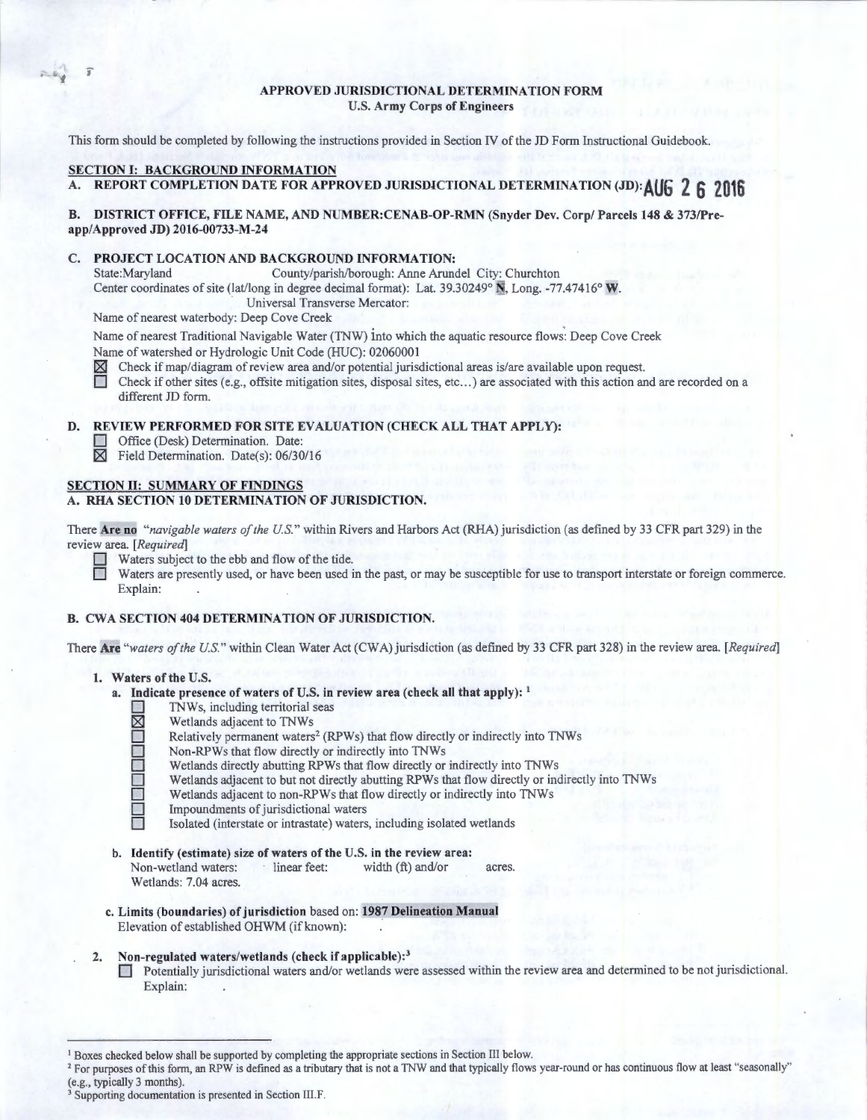# APPROVED JURISDICTIONAL DETERMINATION FORM U.S. Army Corps of Engineers

This form should be completed by following the instructions provided in Section IV of the JD Form Instructional Guidebook.

# SECTION I: BACKGROUND INFORMATION

.. ., f

# A. REPORT COMPLETION DA TE FOR APPROVED JURISDICTIONAL DETERMINATION (JD): **AUG 2 6 2016**

# B. DISTRICT OFFICE, FILE NAME, AND NUMBER:CENAB-OP-RMN (Snyder Dev. Corp/ Parcels 148 & 373/Preapp/Approved JD) 2016-00733-M-24

# C. PROJECT LOCATION AND BACKGROUND INFORMATION:<br>State:Maryland County/parish/borough: Anne Arune

County/parish/borough: Anne Arundel City: Churchton

Center coordinates of site (lat/long in degree decimal format): Lat. 39.30249° N, Long. -77.47416° W.

Universal Transverse Mercator:

Name of nearest waterbody: Deep Cove Creek

Name of nearest Traditional Navigable Water (TNW) into which the aquatic resource flows': Deep Cove Creek Name of watershed or Hydrologic Unit Code (HUC): 02060001

 $\boxtimes$  Check if map/diagram of review area and/or potential jurisdictional areas is/are available upon request.

Check if other sites (e.g., offsite mitigation sites, disposal sites, etc...) are associated with this action and are recorded on a different JD form.

## D. REVIEW PERFORMED FOR SITE EVALUATION (CHECK ALL THAT APPLY):

- Office (Desk) Determination. Date:
- $\boxtimes$  Field Determination. Date(s): 06/30/16

# SECTION II: SUMMARY OF FINDINGS

# A. RHA SECTION 10 DETERMINATION OF JURISDICTION.

There Are no *"navigable waters of the U.S."* within Rivers and Harbors Act (RHA) jurisdiction (as defined by 33 CFR part 329) in the review area. *[Required]* 

Waters subject to the ebb and flow of the tide.

Waters are presently used, or have been used in the past, or may be susceptible for use to transport interstate or foreign commerce. Explain:

# B. CWA SECTION 404 DETERMINATION OF JURISDICTION.

There Are *"waters of the U.S."* within Clean Water Act (CWA) jurisdiction (as defined by 33 CFR part 328) in the review area. *[Required]* 

### 1. Waters of the U.S.

- a. Indicate presence of waters of U.S. in review area (check all that apply):  $<sup>1</sup>$ </sup>
	- TNWs, including territorial seas<br>
	Muslim Scheiner in TNWs<br>
	Relatively permanent waters<sup>2</sup> (R<br>
	Non-RPWs that flow directly or<br>
	Wetlands dijacent to but not dire<br>
	Wetlands adjacent to non-RPWs
		- Wetlands adjacent to TNWs
		- Relatively permanent waters<sup>2</sup> (RPWs) that flow directly or indirectly into TNWs
		- Non-RPWs that flow directly or indirectly into TNWs
		- Wetlands directly abutting RPWs that flow directly or indirectly into TNWs
		- Wetlands adjacent to but not directly abutting RPWs that flow directly or indirectly into TNWs
	- □ Wetlands adjacent to non-RPWs that flow directly or indirectly into TNWs<br>Impoundments of jurisdictional waters<br>Isolated (interstate or intrastate) waters, including isolated wetlands
		- Impoundments of jurisdictional waters
		- Isolated (interstate or intrastate) waters, including isolated wetlands
- b. Identify (estimate) size of waters of the U.S. in the review area: Non-wetland waters: linear feet: width (ft) and/or acres. Wetlands: 7.04 acres.
- c. Limits (boundaries) of jurisdiction based on: 1987 Delineation Manual Elevation of established OHWM (if known):

### 2. Non-regulated waters/wetlands (check if applicable):<sup>3</sup>

D Potentially jurisdictional waters and/or wetlands were assessed within the review area and determined to be not jurisdictional. Explain:

<sup>&</sup>lt;sup>1</sup> Boxes checked below shall be supported by completing the appropriate sections in Section III below.<br><sup>2</sup> For purposes of this form, an RPW is defined as a tributary that is not a TNW and that typically flows year-round

<sup>&</sup>lt;sup>3</sup> Supporting documentation is presented in Section III.F.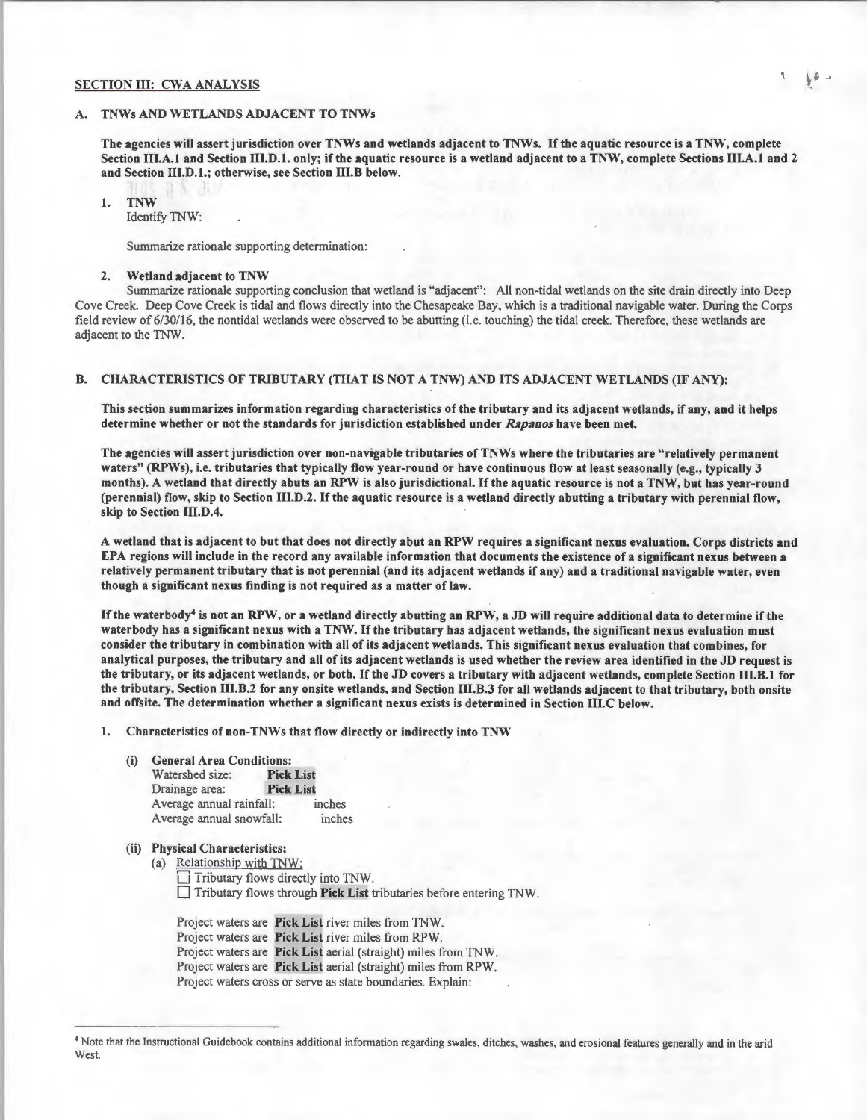#### SECTION III: CWA ANALYSIS

### A. TNWs AND WETLANDS ADJACENT TO TNWs

The agencies will assert jurisdiction over TNWs and wetlands adjacent to TNWs. If the aquatic resource is a TNW, complete Section III.A.I and Section III.D.l. only; if the aquatic resource is a wetland adjacent to a TNW, complete Sections III.A.I and 2 and Section 111.D.l.; otherwise, see Section 111.B below.

I. TNW

Identify TNW:

Summarize rationale supporting determination:

#### 2. Wetland adjacent to TNW

Summarize rationale supporting conclusion that wetland is "adjacent": All non-tidal wetlands on the site drain directly into Deep Cove Creek. Deep Cove Creek is tidal and flows directly into the Chesapeake Bay, which is a traditional navigable water. During the Corps field review of 6/30/16, the nontidal wetlands were observed to be abutting (i.e. touching) the tidal creek. Therefore, these wetlands are adjacent to the TNW.

## B. CHARACTERISTICS OF TRIBUTARY (THAT IS NOT A TNW) AND ITS ADJACENT WETLANDS (IF ANY):

This section summarizes information regarding characteristics of the tributary and its adjacent wetlands, if any, and it helps determine whether or not the standards for jurisdiction established under *Rapanos* have been met.

The agencies will assert jurisdiction over non-navigable tributaries ofTNWs where the tributaries are "relatively permanent waters" (RPWs), i.e. tributaries that typically flow year-round or have continuous flow at least seasonally (e.g., typically 3 months). A wetland that directly abuts an RPW is also jurisdictional. If the aquatic resource is not a TNW, but has year-round (perennial) flow, skip to Section 111.D.2. If the aquatic resource is a wetland directly abutting a tributary with perennial flow, skip to Section III.D.4.

A wetland that is adjacent to but that does not directly abut an RPW requires a significant nexus evaluation. Corps districts and EPA regions will include in the record any available information that documents the existence of a significant nexus between a relatively permanent tributary that is not perennial (and its adjacent wetlands if any) and a traditional navigable water, even though a significant nexus finding is not required as a matter of law.

If the waterbody<sup>4</sup> is not an RPW, or a wetland directly abutting an RPW, a JD will require additional data to determine if the waterbody has a significant nexus with a TNW. If the tributary has adjacent wetlands, the significant nexus evaluation must consider the tributary in combination with all of its adjacent wetlands. This significant nexus evaluation that combines, for analytical purposes, the tributary and all of its adjacent wetlands is used whether the review area identified in the JD request is the tributary, or its adjacent wetlands, or both. If the JD covers a tributary with adjacent wetlands, complete Section 111.B.I for the tributary, Section 111.B.2 for any onsite wetlands, and Section 111.B.3 for all wetlands adjacent to that tributary, both onsite and offsite. The determination whether a significant nexus exists is determined in Section 111.C below.

I. Characteristics of non-TNWs that flow directly or indirectly into TNW

- (i) General Area Conditions:
	- Watershed size: Pick List Drainage area: Pick List Average annual rainfall: inches Average annual snowfall: inches
- (ii) Physical Characteristics:
	- (a) Relationship with TNW:  $\Box$  Tributary flows directly into TNW.

D Tributary flows through Pick List tributaries before entering TNW.

Project waters are Pick List river miles from TNW. Project waters are Pick List river miles from RPW. Project waters are Pick List aerial (straight) miles from TNW. Project waters are Pick List aerial (straight) miles from RPW. Project waters cross or serve as state boundaries. Explain:

<sup>4</sup> Note that the Instructional Guidebook contains additional information regarding swales, ditches, washes, and erosional features generally and in the arid West.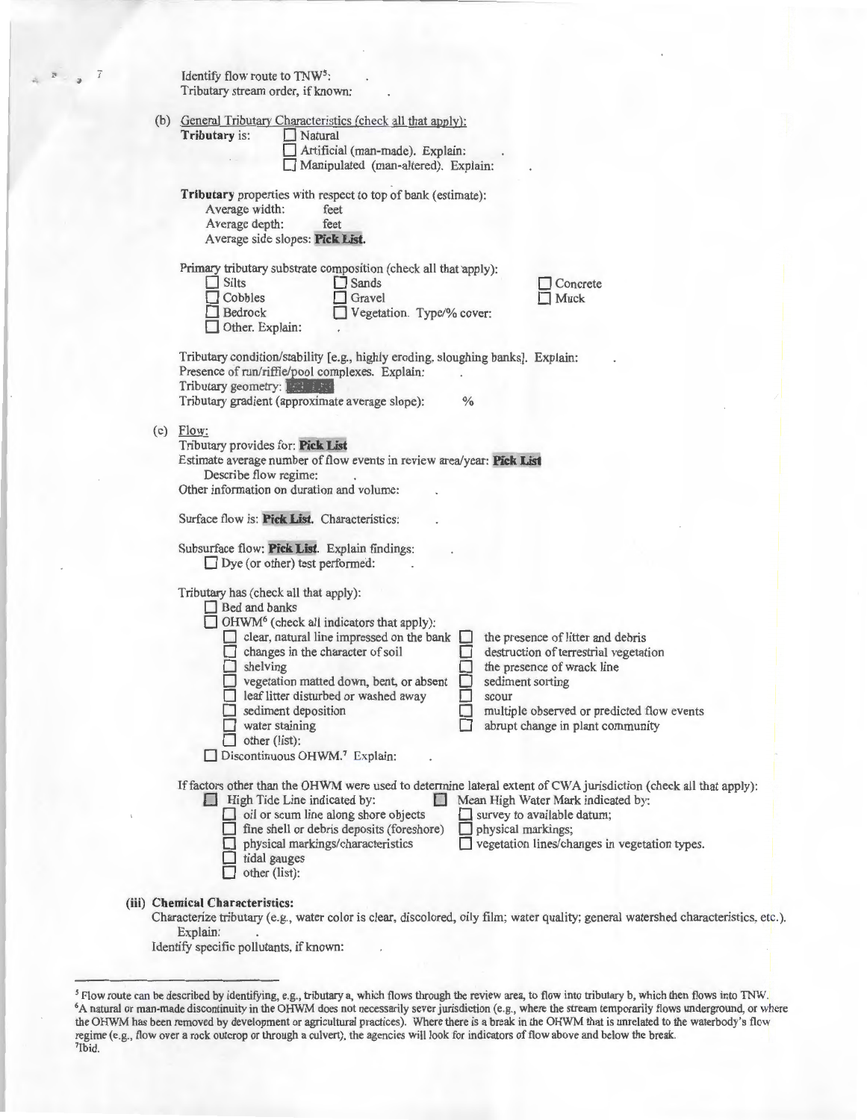<sup>2</sup>  $\frac{1}{2}$  *i* Identify flow route to TNW<sup>5</sup>:<br>Tributary stream order, if known:

|     | Tributary is:<br>Natural<br>Artificial (man-made). Explain:<br>Manipulated (man-altered). Explain:                                                                                                                                                                                                                                                                                                                                                                                                                                                                                                                                             |  |  |  |  |  |
|-----|------------------------------------------------------------------------------------------------------------------------------------------------------------------------------------------------------------------------------------------------------------------------------------------------------------------------------------------------------------------------------------------------------------------------------------------------------------------------------------------------------------------------------------------------------------------------------------------------------------------------------------------------|--|--|--|--|--|
|     | Tributary properties with respect to top of bank (estimate):<br>Average width:<br>feet<br>Average depth:<br>feet<br>Average side slopes: Pick List.                                                                                                                                                                                                                                                                                                                                                                                                                                                                                            |  |  |  |  |  |
|     | Primary tributary substrate composition (check all that apply):<br><b>Silts</b><br>$\Box$ Sands<br>Concrete<br>Cobbles<br>Gravel<br>Muck<br>Bedrock<br>Vegetation. Type/% cover:<br>Other. Explain:                                                                                                                                                                                                                                                                                                                                                                                                                                            |  |  |  |  |  |
|     | Tributary condition/stability [e.g., highly eroding, sloughing banks]. Explain:<br>Presence of run/riffle/pool complexes. Explain:<br>Tributary geometry: The state<br>Tributary gradient (approximate average slope):<br>$\%$                                                                                                                                                                                                                                                                                                                                                                                                                 |  |  |  |  |  |
| (c) | Flow:<br>Tributary provides for: Pick List<br>Estimate average number of flow events in review area/year: Pick List<br>Describe flow regime:<br>Other information on duration and volume:                                                                                                                                                                                                                                                                                                                                                                                                                                                      |  |  |  |  |  |
|     | Surface flow is: Pick List. Characteristics:<br>Subsurface flow: Pick List. Explain findings:<br>Dye (or other) test performed:                                                                                                                                                                                                                                                                                                                                                                                                                                                                                                                |  |  |  |  |  |
|     | Tributary has (check all that apply):<br>Bed and banks<br>OHWM <sup>6</sup> (check all indicators that apply):<br>clear, natural line impressed on the bank<br>the presence of litter and debris<br>changes in the character of soil<br>destruction of terrestrial vegetation<br>$\Box$ shelving<br>the presence of wrack line<br>vegetation matted down, bent, or absent<br>sediment sorting<br>leaf litter disturbed or washed away<br>scour<br>sediment deposition<br>multiple observed or predicted flow events<br>water staining<br>abrupt change in plant community<br>$\Box$ other (list):<br>Discontinuous OHWM. <sup>7</sup> Explain: |  |  |  |  |  |
|     | If factors other than the OHWM were used to determine lateral extent of CWA jurisdiction (check all that apply):<br>High Tide Line indicated by:<br>Mean High Water Mark indicated by:<br>$\Box$ oil or scum line along shore objects<br>survey to available datum;<br>$\Box$ fine shell or debris deposits (foreshore)<br>physical markings;<br>physical markings/characteristics<br>vegetation lines/changes in vegetation types.<br>tidal gauges<br>other (list):                                                                                                                                                                           |  |  |  |  |  |

Identify specific pollutants, if known:

<sup>&</sup>lt;sup>5</sup> Flow route can be described by identifying, e.g., tributary a, which flows through the review area, to flow into tributary b, which then flows into TNW.<br><sup>6</sup>A natural or man-made discontinuity in the OHWM does not neces the OHWM has been removed by development or agricultural practices). Where there is a break in the OHWM that is unrelated to the waterbody's flow regime (e.g., flow over a rock outcrop or through a culvert), the agencies will look for indicators of flow above and below the break. 7Ibid.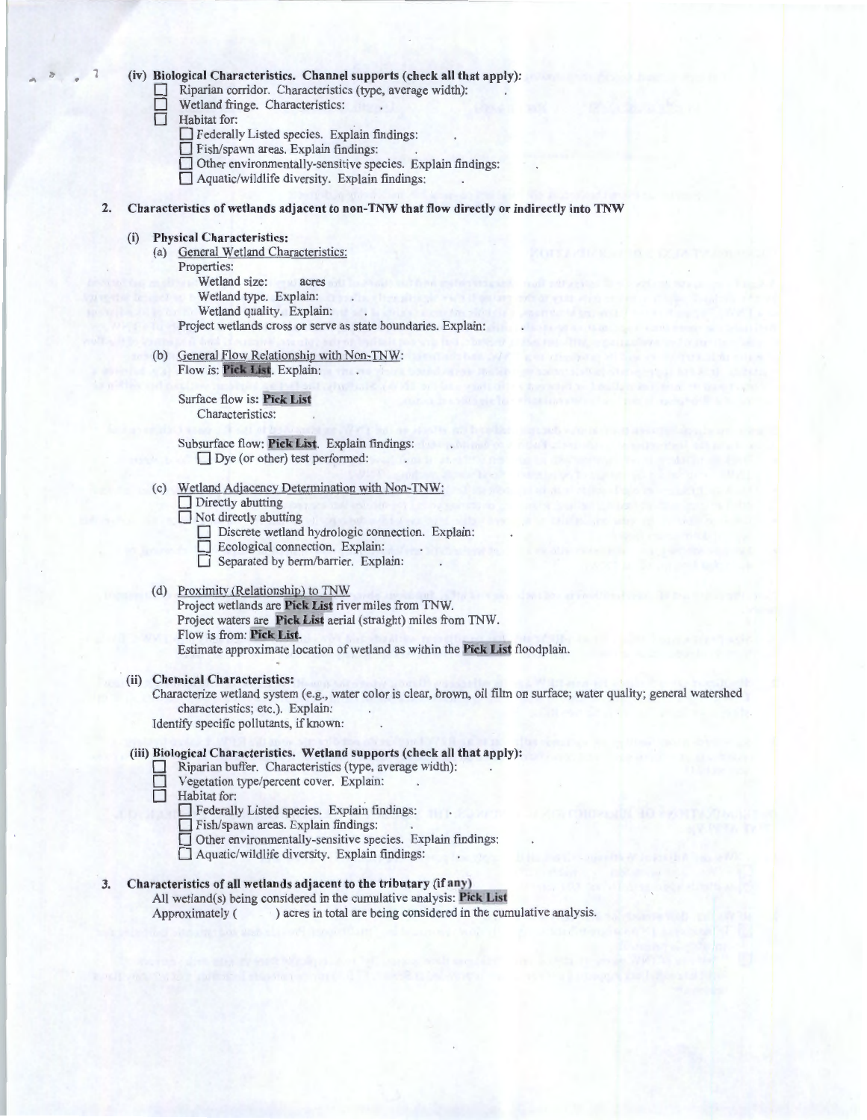#### (iv) Biological Characteristics. Channel supports (check all that apply):

- Riparian corridor. Characteristics (type, average width):
- $\Box$  Wetland fringe. Characteristics:<br> $\Box$  Habitat for:
	- Habitat for:
		- D Federally Listed species. Explain findings:
		- Fish/spawn areas. Explain findings:
		- $\Box$  Other environmentally-sensitive species. Explain findings:
		- D Aquatic/wildlife diversity. Explain findings:
- 2. Characteristics of wetlands adjacent to non-TNW that flow directly or indirectly into TNW

# (i) Physical Characteristics:

- (a) General Wetland Characteristics: Properties: Wetland size: acres Wetland type. Explain: The contract of the contract of the contract of the contract of the contract of the contract of the contract of the contract of the contract of the contract of the contract of the contract of the con Wetland quality. Explain: The contract of the contract of the contract of the contract of the contract of the contract of the contract of the contract of the contract of the contract of the contract of the contract of the Project wetlands cross or serve as state boundaries. Explain:
- (b) General Flow Relationship with Non-TNW: Flow is: Pick List. Explain: The Contract of the Contract of the Contract of the Contract of the Contract of the Contract of the Contract of the Contract of the Contract of the Contract of the Contract of the Contract of t

Surface flow is: Pick Lis Characteristics:

Subsurface flow: Pick List. Explain findings: Dye (or other) test performed:

- (c) Wetland Adjacency Determination with Non-TNW:
	- $\Box$  Directly abutting
	- $\Box$  Not directly abutting
		- Discrete wetland hydrologic connection. Explain:
		- **DECOLOGICAL CONNECTED ECOLOGICAL CONNECTED**
		- Separated by berm/barrier. Explain:

# (d) Proximitv (Relationship) to TNW

Project wetlands are Pick List river miles from TNW. Project waters are Pick List aerial (straight) miles from TNW. Flow is from: Pick List. Estimate approximate location of wetland as within the Pick List floodplain.

(ii) Chemical Characteristics:

Characterize wetland system (e.g., water color is clear, brown, oil film on surface; water quality; general watershed characteristics; etc.). Explain:

Identify specific pollutants, if known:

# (iii) Biological Characteristics. Wetland supports (check all that apply):

- Riparian buffer. Characteristics (type, average width):
- Vegetation type/percent cover. Explain:
- $\Box$  Habitat for:
	- D Federally Listed species. Explain findings:
	- $\Box$  Fish/spawn areas. Explain findings:
	- D Other environmentally-sensitive species. Explain findings:
	- D Aquatic/wildlife diversity. Explain findings:

# 3. Characteristics of all wetlands adjacent to the tributary (if any)

All wetland(s) being considered in the cumulative analysis: Pick List Approximately () acres in total are being considered in the cumulative analysis.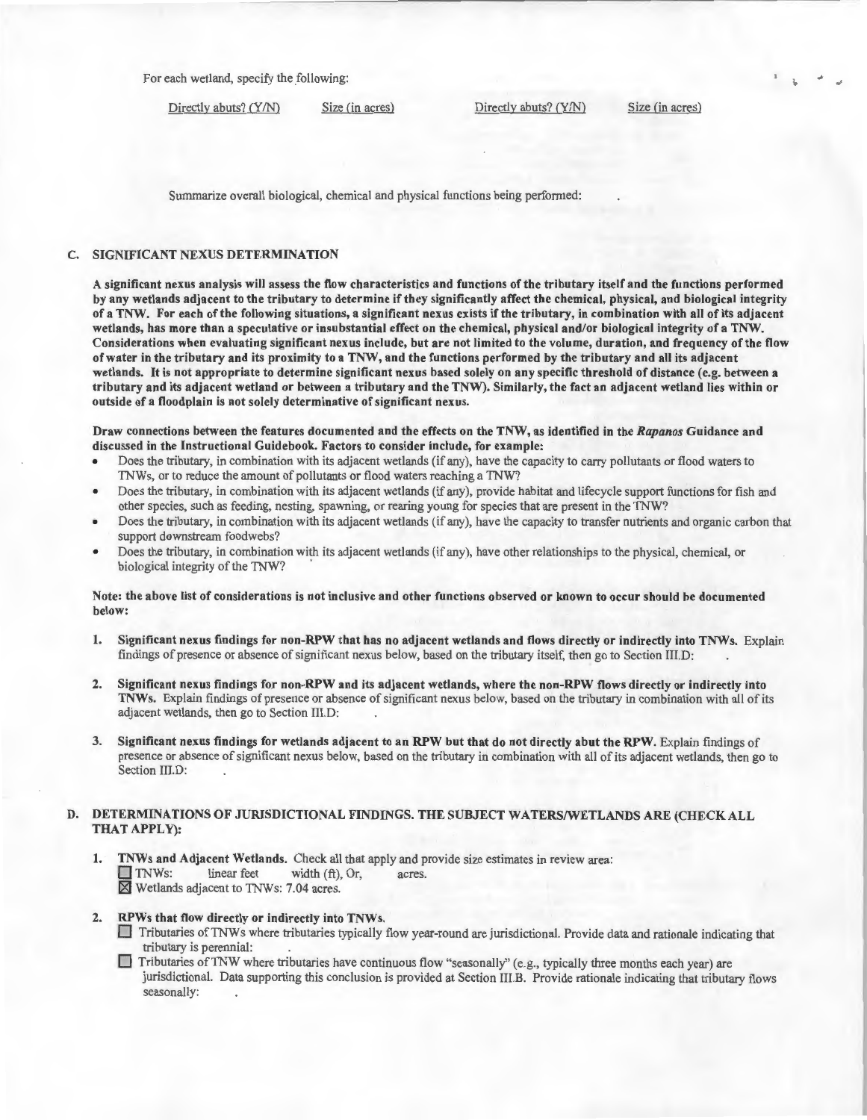For each wetland, specify the following:

Directly abuts? (Y/N) Size (in acres) Directly abuts? (Y/N) Size (in acres)

Summarize overall biological, chemical and physical functions being performed:

## C. SIGNIFICANT NEXUS DETERMINATION

A significant nexus analysis will assess the flow characteristics and functions of the tributary itself and the functions performed by any wetlands adjacent to the tributary to determine if they significantly affect the chemical, physical, and biological integrity of a TNW. For each of the following situations, a significant nexus exists if the tributary, in combination with all of its adjacent wetlands, has more than a speculative or insubstantial effect on the chemical, physical and/or biological integrity of a TNW. Considerations when evaluating significant nexus include, but are not limited to the volume, duration, and frequency of the flow of water in the tributary and its proximity to a TNW, and the functions performed by the tributary and all its adjacent wetlands. It is not appropriate to determine significant nexus based solely on any specific threshold of distance (e.g. between a tributary and its adjacent wetland or between a tributary and the TNW). Similarly, the fact an adjacent wetland lies within or outside of a floodplain is not solely determinative of significant nexus.

Draw connections between the features documented and the effects on the TNW, as identified in the *Rapanos* Guidance and discussed in the Instructional Guidebook. Factors to consider include, for example:

- Does the tributary, in combination with its adjacent wetlands (if any), have the capacity to carry pollutants or flood waters to TNWs, or to reduce the amount of pollutants or flood waters reaching a TNW?
- Does the tributary, in combination with its adjacent wetlands (if any), provide habitat and lifecycle support functions for fish and other species, such as feeding, nesting, spawning, or rearing young for species that are present in the TNW?
- Does the tributary, in combination with its adjacent wetlands (if any), have the capacity to transfer nutrients and organic carbon that support downstream foodwebs?
- Does the tributary, in combination with its adjacent wetlands (if any), have other relationships to the physical, chemical, or biological integrity of the TNW?

#### Note: the above list of considerations is not inclusive and other functions observed or known to occur should be documented below:

- 1. Significant nexus findings for non-RPW that has no adjacent wetlands and flows directly or indirectly into TNWs. Explain findings of presence or absence of significant nexus below, based on the tributary itself, then go to Section III.D:
- 2. Significant nexus findings for non-RPW and its adjacent wetlands, where the non-RPW flows directly or indirectly into TNWs. Explain findings of presence or absence of significant nexus below, based on the tributary in combination with all of its adjacent wetlands, then go to Section III.D:
- 3. Significant nexus findings for wetlands adjacent to an RPW but that do not directly abut the RPW. Explain findings of presence or absence of significant nexus below, based on the tributary in combination with all of its adjacent wetlands, then go to Section III.D:

## D. DETERMINATIONS OF JURISDICTIONAL FINDINGS. THE SUBJECT WATERS/WETLANDS ARE (CHECK ALL THAT APPLY):

- 1. TNWs and Adjacent Wetlands. Check all that apply and provide size estimates in review area:<br>
TNWs: linear feet width (ft), Or, acres. width  $(ft)$ , Or, acres.  $\overline{X}$  Wetlands adjacent to TNWs: 7.04 acres.
- 2. RPWs that flow directly or indirectly into TNWs.
	- D Tributaries ofTNWs where tributaries typically flow year-round are jurisdictional. Provide data and rationale indicating that tributary is perennial:
	- $\Box$  Tributaries of TNW where tributaries have continuous flow "seasonally" (e.g., typically three months each year) are jurisdictional. Data supporting this conclusion is provided at Section III.B. Provide rationale indicating that tributary flows seasonally: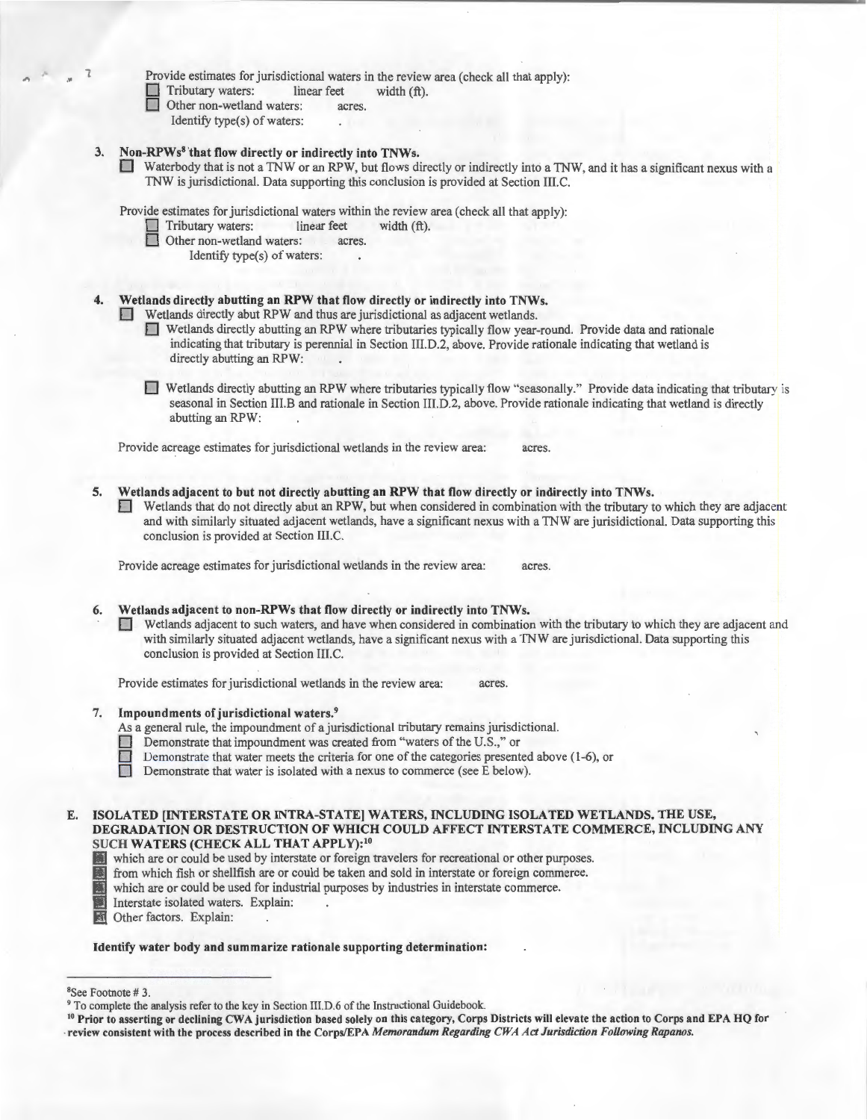|  | <b>TIOAIRE</b> |  |  |
|--|----------------|--|--|
|  | $\Box$ Tribu   |  |  |

stimates for jurisdictional waters in the review area (check all that apply):

 $tary waters:$  linear feet width  $(ft)$ .

- Other non-wetland waters: acres.
	- Identify type(s) of waters:

# 3. Non-RPWs8 'that flow directly or indirectly into TNWs.

D Waterbody that is not a TNW or an RPW, but flows directly or indirectly into a TNW, and it has a significant nexus with a TNW is jurisdictional. Data supporting this conclusion is provided at Section III.C.

Provide estimates for jurisdictional waters within the review area (check all that apply):<br>
Tributary waters: linear feet width  $(ft)$ .

- $\Box$  Tributary waters: linear feet  $\Box$  Other non-wetland waters: acres.
	- Other non-wetland waters:
		- Identify type(s) of waters:

# Wetlands directly abutting an RPW that flow directly or indirectly into TNWs.

**D** Wetlands directly abut RPW and thus are jurisdictional as adjacent wetlands.

- 0 Wetlands directly abutting an RPW where tributaries typically flow year-round. Provide data and rationale indicating that tributary is perennial in Section III.D.2, above. Provide rationale indicating that wetland is directly abutting an RPW:
- Wetlands directly abutting an RPW where tributaries typically flow "seasonally." Provide data indicating that tributary is seasonal in Section Ill.B and rationale in Section III.D.2, above. Provide rationale indicating that wetland is directly abutting an RPW:

Provide acreage estimates for jurisdictional wetlands in the review area: acres.

5. Wetlands adjacent to but not directly abutting an RPW that flow directly or indirectly into TNWs. 0 Wetlands that do not directly abut an RPW, but when considered in combination with the tributary to which they are adjacent and with similarly situated adjacent wetlands, have a significant nexus with a TNW are jurisidictional. Data supporting this conclusion is provided at Section III.C.

Provide acreage estimates for jurisdictional wetlands in the review area: acres.

# 6. Wetlands adjacent to non-RPWs that flow directly or indirectly into TNWs.

0 Wetlands adjacent to such waters, and have when considered in combination with the tributary to which they are adjacent and with similarly situated adjacent wetlands, have a significant nexus with a TNW are jurisdictional. Data supporting this conclusion is provided at Section III.C.

Provide estimates for jurisdictional wetlands in the review area: acres.

# 7. Impoundments of jurisdictional waters. <sup>9</sup>

As a general rule, the impoundment of a jurisdictional tributary remains jurisdictional.

- 
- Demonstrate that impoundment was created from "waters of the U.S.," or<br>Demonstrate that water meets the criteria for one of the categories present Demonstrate that water meets the criteria for one of the categories presented above (1-6), or Demonstrate that water is isolated with a nexus to commerce (see E below).

Demonstrate that water is isolated with a nexus to commerce (see E below).

- which are or could be used by interstate or foreign travelers for recreational or other purposes.
- **Example 19 from which fish or shellfish are or could be taken and sold in interstate or foreign commerce.**<br> **Example 19 for the taken and sold in interstate commerce.**<br> **Example 19 for the taken and sold waters.**<br> **Explai** 
	- which are or could be used for industrial purposes by industries in interstate commerce.
	- Interstate isolated waters. Explain: .
- Other factors. Explain:

### Identify water body and summarize rationale supporting determination:

E. ISOLATED [INTERSTATE OR INTRA-STATE] WATERS, INCLUDING ISOLATED WETLANDS, THE USE, DEGRADATION OR DESTRUCTION OF WHICH COULD AFFECT INTERSTATE COMMERCE, INCLUDING ANY SUCH WATERS (CHECK ALL THAT APPLY):<sup>10</sup>

<sup>&</sup>lt;sup>8</sup>See Footnote #3.

<sup>&</sup>lt;sup>9</sup> To complete the analysis refer to the key in Section III.D.6 of the Instructional Guidebook.<br><sup>10</sup> Prior to asserting or declining CWA jurisdiction based solely on this category, Corps Districts will elevate the action review consistent with the process described in the Corps/EPA *Memorandum Regarding CWA Act Jurisdiction Following Rapanos.*